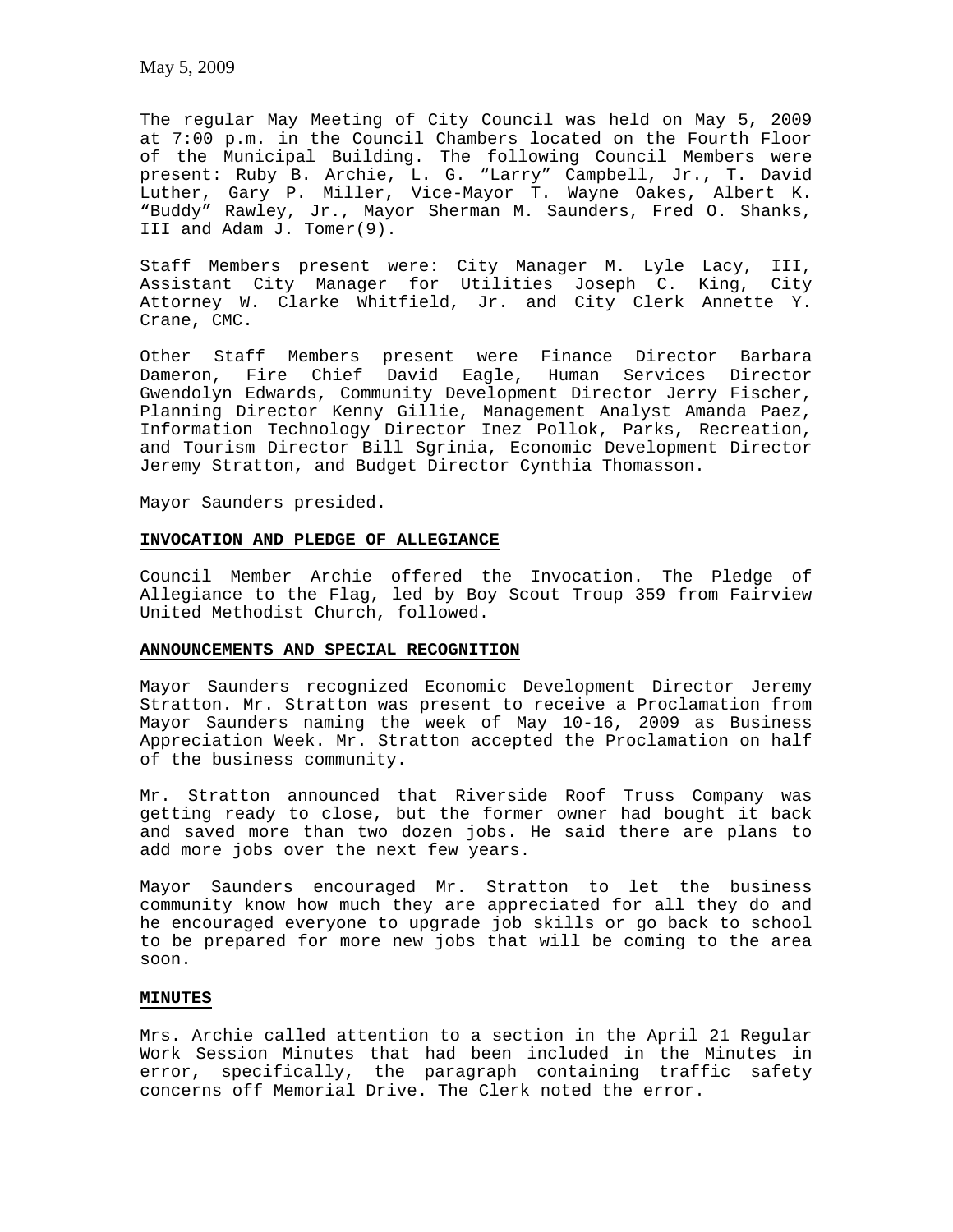The regular May Meeting of City Council was held on May 5, 2009 at 7:00 p.m. in the Council Chambers located on the Fourth Floor of the Municipal Building. The following Council Members were present: Ruby B. Archie, L. G. "Larry" Campbell, Jr., T. David Luther, Gary P. Miller, Vice-Mayor T. Wayne Oakes, Albert K. "Buddy" Rawley, Jr., Mayor Sherman M. Saunders, Fred O. Shanks, III and Adam J. Tomer(9).

Staff Members present were: City Manager M. Lyle Lacy, III, Assistant City Manager for Utilities Joseph C. King, City Attorney W. Clarke Whitfield, Jr. and City Clerk Annette Y. Crane, CMC.

Other Staff Members present were Finance Director Barbara Dameron, Fire Chief David Eagle, Human Services Director Gwendolyn Edwards, Community Development Director Jerry Fischer, Planning Director Kenny Gillie, Management Analyst Amanda Paez, Information Technology Director Inez Pollok, Parks, Recreation, and Tourism Director Bill Sgrinia, Economic Development Director Jeremy Stratton, and Budget Director Cynthia Thomasson.

Mayor Saunders presided.

### **INVOCATION AND PLEDGE OF ALLEGIANCE**

Council Member Archie offered the Invocation. The Pledge of Allegiance to the Flag, led by Boy Scout Troup 359 from Fairview United Methodist Church, followed.

### **ANNOUNCEMENTS AND SPECIAL RECOGNITION**

Mayor Saunders recognized Economic Development Director Jeremy Stratton. Mr. Stratton was present to receive a Proclamation from Mayor Saunders naming the week of May 10-16, 2009 as Business Appreciation Week. Mr. Stratton accepted the Proclamation on half of the business community.

Mr. Stratton announced that Riverside Roof Truss Company was getting ready to close, but the former owner had bought it back and saved more than two dozen jobs. He said there are plans to add more jobs over the next few years.

Mayor Saunders encouraged Mr. Stratton to let the business community know how much they are appreciated for all they do and he encouraged everyone to upgrade job skills or go back to school to be prepared for more new jobs that will be coming to the area soon.

#### **MINUTES**

Mrs. Archie called attention to a section in the April 21 Regular Work Session Minutes that had been included in the Minutes in error, specifically, the paragraph containing traffic safety concerns off Memorial Drive. The Clerk noted the error.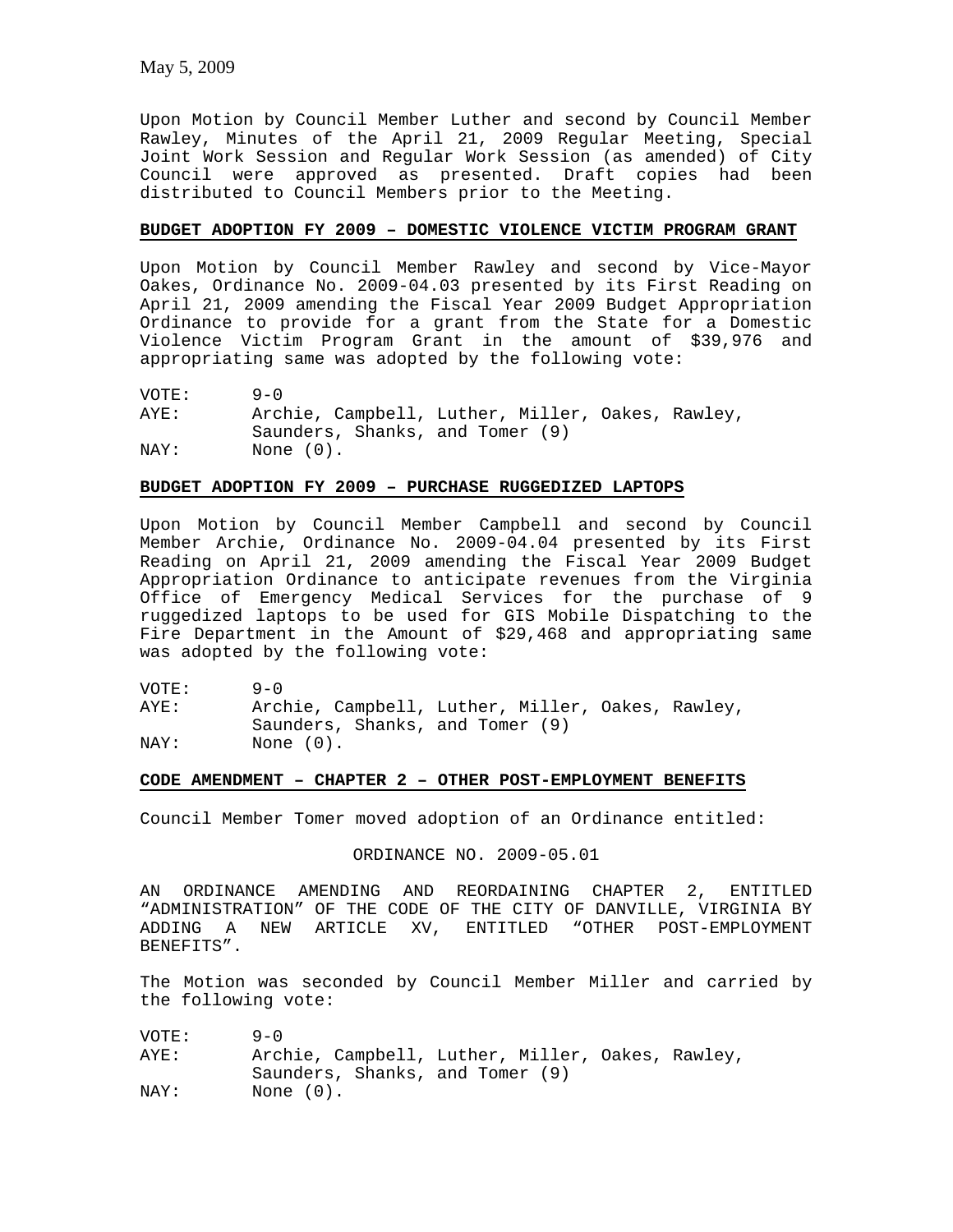Upon Motion by Council Member Luther and second by Council Member Rawley, Minutes of the April 21, 2009 Regular Meeting, Special Joint Work Session and Regular Work Session (as amended) of City Council were approved as presented. Draft copies had been distributed to Council Members prior to the Meeting.

# **BUDGET ADOPTION FY 2009 – DOMESTIC VIOLENCE VICTIM PROGRAM GRANT**

Upon Motion by Council Member Rawley and second by Vice-Mayor Oakes, Ordinance No. 2009-04.03 presented by its First Reading on April 21, 2009 amending the Fiscal Year 2009 Budget Appropriation Ordinance to provide for a grant from the State for a Domestic Violence Victim Program Grant in the amount of \$39,976 and appropriating same was adopted by the following vote:

| VOTE: | $9 - 0$                                          |
|-------|--------------------------------------------------|
| AYE:  | Archie, Campbell, Luther, Miller, Oakes, Rawley, |
|       | Saunders, Shanks, and Tomer (9)                  |
| NAY:  | None $(0)$ .                                     |

# **BUDGET ADOPTION FY 2009 – PURCHASE RUGGEDIZED LAPTOPS**

Upon Motion by Council Member Campbell and second by Council Member Archie, Ordinance No. 2009-04.04 presented by its First Reading on April 21, 2009 amending the Fiscal Year 2009 Budget Appropriation Ordinance to anticipate revenues from the Virginia Office of Emergency Medical Services for the purchase of 9 ruggedized laptops to be used for GIS Mobile Dispatching to the Fire Department in the Amount of \$29,468 and appropriating same was adopted by the following vote:

VOTE: 9-0 AYE: Archie, Campbell, Luther, Miller, Oakes, Rawley, Saunders, Shanks, and Tomer (9) NAY: None (0).

### **CODE AMENDMENT – CHAPTER 2 – OTHER POST-EMPLOYMENT BENEFITS**

Council Member Tomer moved adoption of an Ordinance entitled:

### ORDINANCE NO. 2009-05.01

AN ORDINANCE AMENDING AND REORDAINING CHAPTER 2, ENTITLED "ADMINISTRATION" OF THE CODE OF THE CITY OF DANVILLE, VIRGINIA BY ADDING A NEW ARTICLE XV, ENTITLED "OTHER POST-EMPLOYMENT BENEFITS".

The Motion was seconded by Council Member Miller and carried by the following vote:

VOTE: 9-0 AYE: Archie, Campbell, Luther, Miller, Oakes, Rawley, Saunders, Shanks, and Tomer (9) NAY: None (0).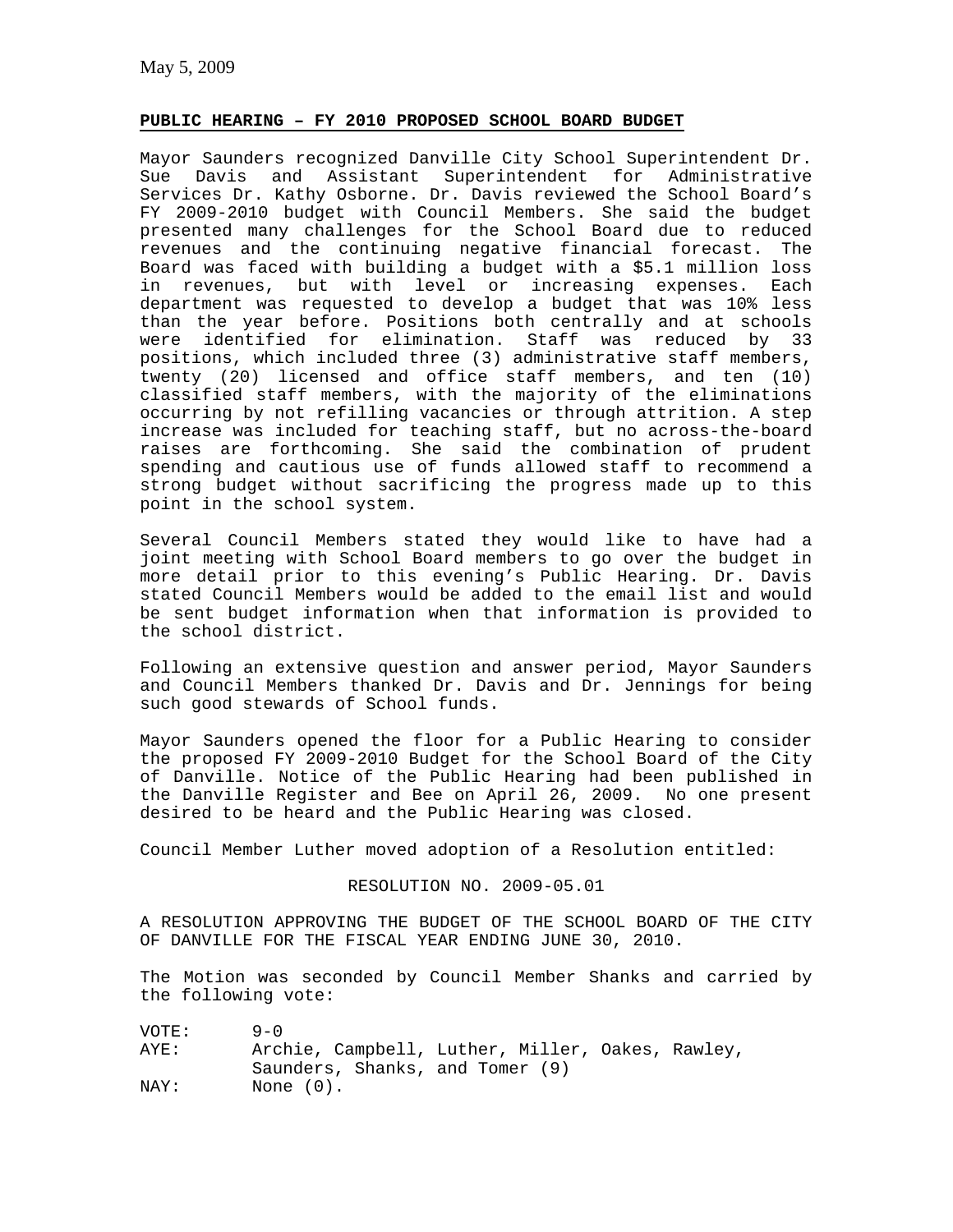# **PUBLIC HEARING – FY 2010 PROPOSED SCHOOL BOARD BUDGET**

Mayor Saunders recognized Danville City School Superintendent Dr. Sue Davis and Assistant Superintendent for Administrative Services Dr. Kathy Osborne. Dr. Davis reviewed the School Board's FY 2009-2010 budget with Council Members. She said the budget presented many challenges for the School Board due to reduced revenues and the continuing negative financial forecast. The Board was faced with building a budget with a \$5.1 million loss in revenues, but with level or increasing expenses. Each department was requested to develop a budget that was 10% less than the year before. Positions both centrally and at schools were identified for elimination. Staff was reduced by 33 positions, which included three (3) administrative staff members, twenty (20) licensed and office staff members, and ten (10) classified staff members, with the majority of the eliminations occurring by not refilling vacancies or through attrition. A step increase was included for teaching staff, but no across-the-board raises are forthcoming. She said the combination of prudent spending and cautious use of funds allowed staff to recommend a strong budget without sacrificing the progress made up to this point in the school system.

Several Council Members stated they would like to have had a joint meeting with School Board members to go over the budget in more detail prior to this evening's Public Hearing. Dr. Davis stated Council Members would be added to the email list and would be sent budget information when that information is provided to the school district.

Following an extensive question and answer period, Mayor Saunders and Council Members thanked Dr. Davis and Dr. Jennings for being such good stewards of School funds.

Mayor Saunders opened the floor for a Public Hearing to consider the proposed FY 2009-2010 Budget for the School Board of the City of Danville. Notice of the Public Hearing had been published in the Danville Register and Bee on April 26, 2009. No one present desired to be heard and the Public Hearing was closed.

Council Member Luther moved adoption of a Resolution entitled:

## RESOLUTION NO. 2009-05.01

A RESOLUTION APPROVING THE BUDGET OF THE SCHOOL BOARD OF THE CITY OF DANVILLE FOR THE FISCAL YEAR ENDING JUNE 30, 2010.

The Motion was seconded by Council Member Shanks and carried by the following vote:

| VOTE: | $9 - 0$                                          |
|-------|--------------------------------------------------|
| AYE:  | Archie, Campbell, Luther, Miller, Oakes, Rawley, |
|       | Saunders, Shanks, and Tomer (9)                  |
| NAY:  | None $(0)$ .                                     |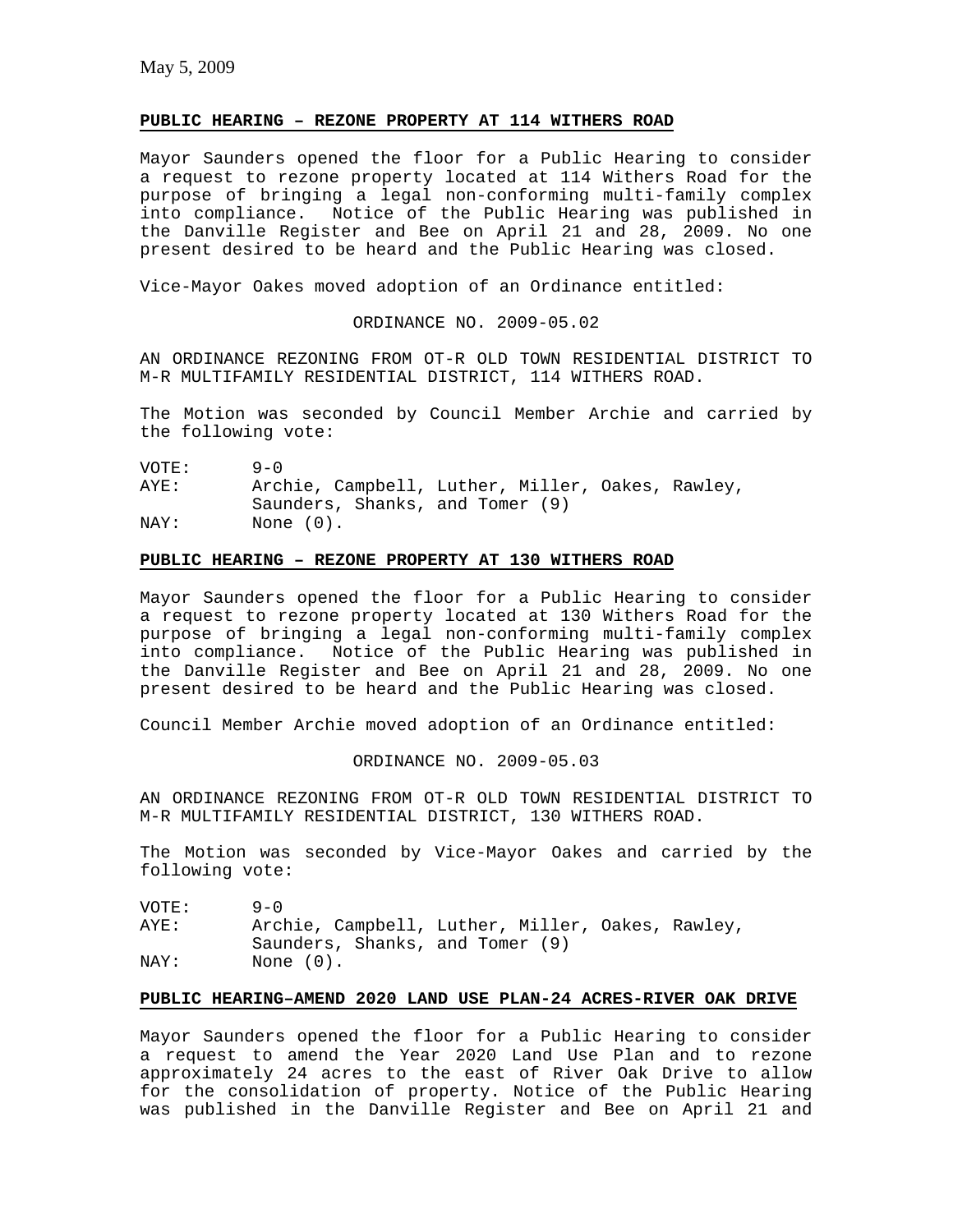# **PUBLIC HEARING – REZONE PROPERTY AT 114 WITHERS ROAD**

Mayor Saunders opened the floor for a Public Hearing to consider a request to rezone property located at 114 Withers Road for the purpose of bringing a legal non-conforming multi-family complex into compliance. Notice of the Public Hearing was published in the Danville Register and Bee on April 21 and 28, 2009. No one present desired to be heard and the Public Hearing was closed.

Vice-Mayor Oakes moved adoption of an Ordinance entitled:

ORDINANCE NO. 2009-05.02

AN ORDINANCE REZONING FROM OT-R OLD TOWN RESIDENTIAL DISTRICT TO M-R MULTIFAMILY RESIDENTIAL DISTRICT, 114 WITHERS ROAD.

The Motion was seconded by Council Member Archie and carried by the following vote:

VOTE: 9-0 AYE: Archie, Campbell, Luther, Miller, Oakes, Rawley, Saunders, Shanks, and Tomer (9) NAY: None  $(0)$ .

#### **PUBLIC HEARING – REZONE PROPERTY AT 130 WITHERS ROAD**

Mayor Saunders opened the floor for a Public Hearing to consider a request to rezone property located at 130 Withers Road for the purpose of bringing a legal non-conforming multi-family complex into compliance. Notice of the Public Hearing was published in the Danville Register and Bee on April 21 and 28, 2009. No one present desired to be heard and the Public Hearing was closed.

Council Member Archie moved adoption of an Ordinance entitled:

ORDINANCE NO. 2009-05.03

AN ORDINANCE REZONING FROM OT-R OLD TOWN RESIDENTIAL DISTRICT TO M-R MULTIFAMILY RESIDENTIAL DISTRICT, 130 WITHERS ROAD.

The Motion was seconded by Vice-Mayor Oakes and carried by the following vote:

VOTE: 9-0 AYE: Archie, Campbell, Luther, Miller, Oakes, Rawley, Saunders, Shanks, and Tomer (9) NAY: None  $(0)$ .

# **PUBLIC HEARING–AMEND 2020 LAND USE PLAN-24 ACRES-RIVER OAK DRIVE**

Mayor Saunders opened the floor for a Public Hearing to consider a request to amend the Year 2020 Land Use Plan and to rezone approximately 24 acres to the east of River Oak Drive to allow for the consolidation of property. Notice of the Public Hearing was published in the Danville Register and Bee on April 21 and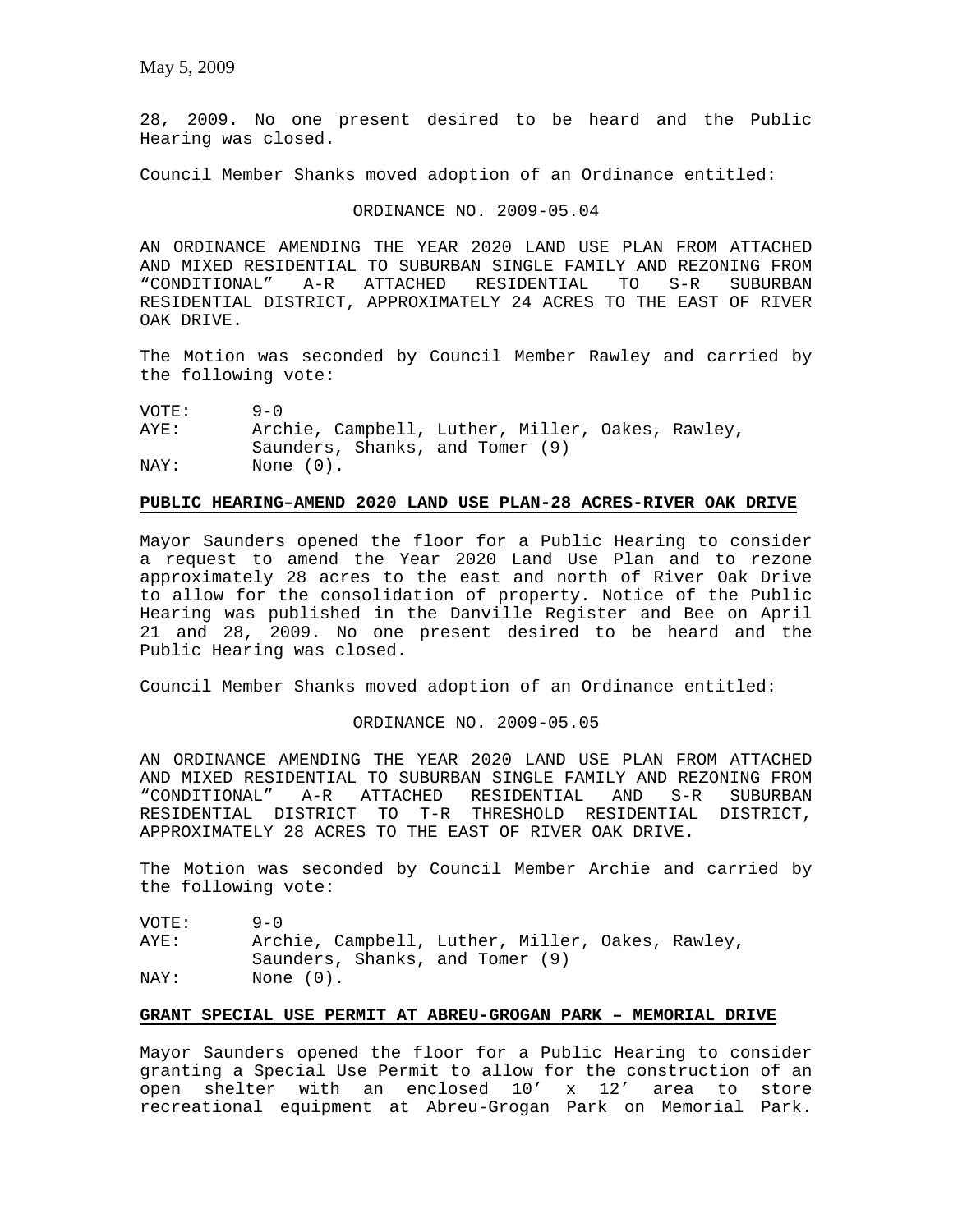28, 2009. No one present desired to be heard and the Public Hearing was closed.

Council Member Shanks moved adoption of an Ordinance entitled:

### ORDINANCE NO. 2009-05.04

AN ORDINANCE AMENDING THE YEAR 2020 LAND USE PLAN FROM ATTACHED AND MIXED RESIDENTIAL TO SUBURBAN SINGLE FAMILY AND REZONING FROM<br>"CONDITIONAL" A-R ATTACHED RESIDENTIAL TO S-R SUBURBAN A-R ATTACHED RESIDENTIAL TO S-R SUBURBAN RESIDENTIAL DISTRICT, APPROXIMATELY 24 ACRES TO THE EAST OF RIVER OAK DRIVE.

The Motion was seconded by Council Member Rawley and carried by the following vote:

VOTE: 9-0

AYE: Archie, Campbell, Luther, Miller, Oakes, Rawley, Saunders, Shanks, and Tomer (9) NAY: None  $(0)$ .

# **PUBLIC HEARING–AMEND 2020 LAND USE PLAN-28 ACRES-RIVER OAK DRIVE**

Mayor Saunders opened the floor for a Public Hearing to consider a request to amend the Year 2020 Land Use Plan and to rezone approximately 28 acres to the east and north of River Oak Drive to allow for the consolidation of property. Notice of the Public Hearing was published in the Danville Register and Bee on April 21 and 28, 2009. No one present desired to be heard and the Public Hearing was closed.

Council Member Shanks moved adoption of an Ordinance entitled:

### ORDINANCE NO. 2009-05.05

AN ORDINANCE AMENDING THE YEAR 2020 LAND USE PLAN FROM ATTACHED AND MIXED RESIDENTIAL TO SUBURBAN SINGLE FAMILY AND REZONING FROM "CONDITIONAL" A-R ATTACHED RESIDENTIAL AND S-R SUBURBAN RESIDENTIAL DISTRICT TO T-R THRESHOLD RESIDENTIAL DISTRICT, APPROXIMATELY 28 ACRES TO THE EAST OF RIVER OAK DRIVE.

The Motion was seconded by Council Member Archie and carried by the following vote:

VOTE: 9-0

AYE: Archie, Campbell, Luther, Miller, Oakes, Rawley, Saunders, Shanks, and Tomer (9) NAY: None  $(0)$ .

#### **GRANT SPECIAL USE PERMIT AT ABREU-GROGAN PARK – MEMORIAL DRIVE**

Mayor Saunders opened the floor for a Public Hearing to consider granting a Special Use Permit to allow for the construction of an open shelter with an enclosed 10' x 12' area to store recreational equipment at Abreu-Grogan Park on Memorial Park.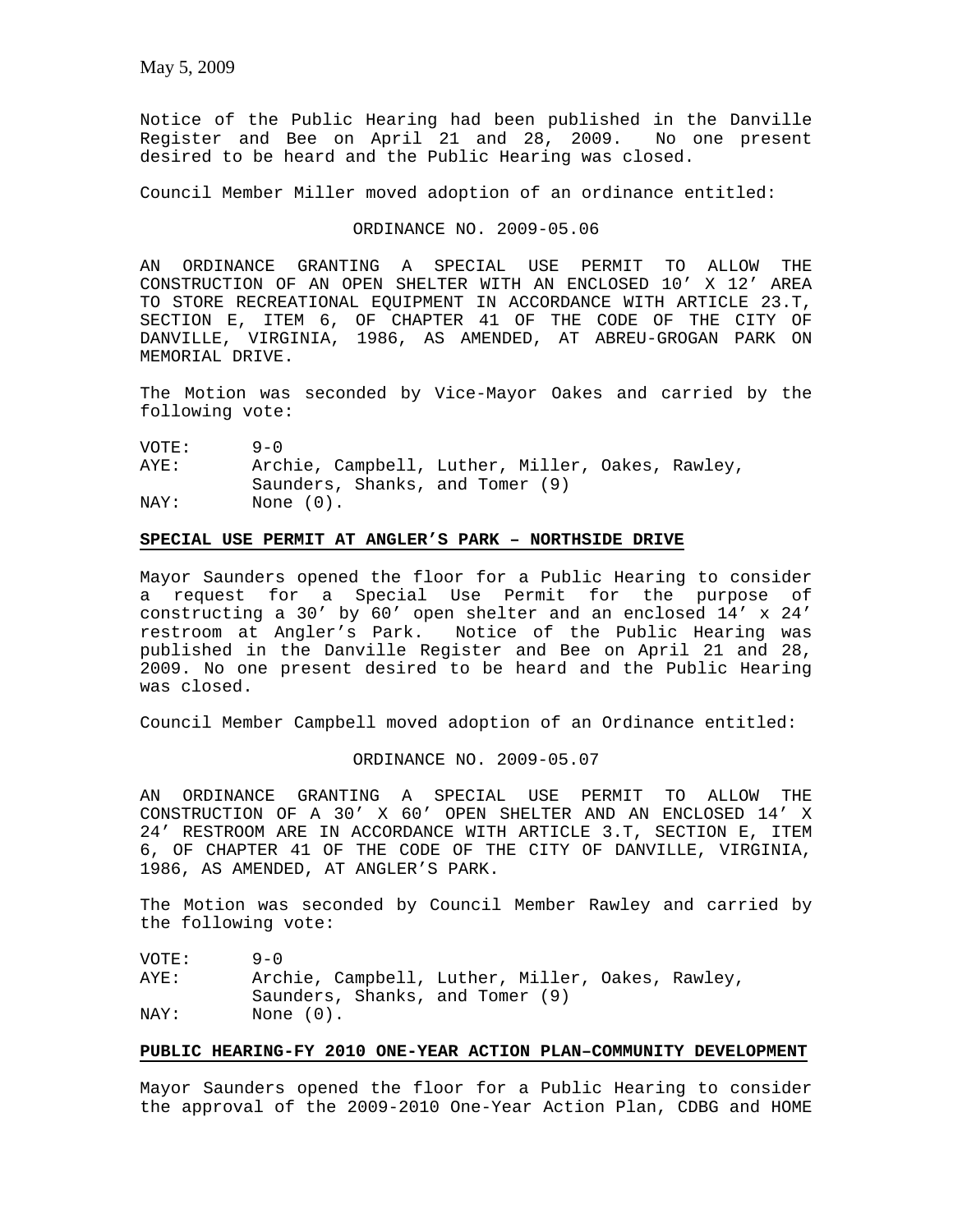Notice of the Public Hearing had been published in the Danville Register and Bee on April 21 and 28, 2009. No one present desired to be heard and the Public Hearing was closed.

Council Member Miller moved adoption of an ordinance entitled:

#### ORDINANCE NO. 2009-05.06

AN ORDINANCE GRANTING A SPECIAL USE PERMIT TO ALLOW THE CONSTRUCTION OF AN OPEN SHELTER WITH AN ENCLOSED 10' X 12' AREA TO STORE RECREATIONAL EQUIPMENT IN ACCORDANCE WITH ARTICLE 23.T, SECTION E, ITEM 6, OF CHAPTER 41 OF THE CODE OF THE CITY OF DANVILLE, VIRGINIA, 1986, AS AMENDED, AT ABREU-GROGAN PARK ON MEMORIAL DRIVE.

The Motion was seconded by Vice-Mayor Oakes and carried by the following vote:

VOTE: 9-0 AYE: Archie, Campbell, Luther, Miller, Oakes, Rawley, Saunders, Shanks, and Tomer (9) NAY: None (0).

## **SPECIAL USE PERMIT AT ANGLER'S PARK – NORTHSIDE DRIVE**

Mayor Saunders opened the floor for a Public Hearing to consider a request for a Special Use Permit for the purpose of constructing a 30' by 60' open shelter and an enclosed 14' x 24' restroom at Angler's Park. Notice of the Public Hearing was published in the Danville Register and Bee on April 21 and 28, 2009. No one present desired to be heard and the Public Hearing was closed.

Council Member Campbell moved adoption of an Ordinance entitled:

#### ORDINANCE NO. 2009-05.07

AN ORDINANCE GRANTING A SPECIAL USE PERMIT TO ALLOW THE CONSTRUCTION OF A 30' X 60' OPEN SHELTER AND AN ENCLOSED 14' X 24' RESTROOM ARE IN ACCORDANCE WITH ARTICLE 3.T, SECTION E, ITEM 6, OF CHAPTER 41 OF THE CODE OF THE CITY OF DANVILLE, VIRGINIA, 1986, AS AMENDED, AT ANGLER'S PARK.

The Motion was seconded by Council Member Rawley and carried by the following vote:

VOTE: 9-0 AYE: Archie, Campbell, Luther, Miller, Oakes, Rawley, Saunders, Shanks, and Tomer (9) NAY: None (0).

### **PUBLIC HEARING-FY 2010 ONE-YEAR ACTION PLAN–COMMUNITY DEVELOPMENT**

Mayor Saunders opened the floor for a Public Hearing to consider the approval of the 2009-2010 One-Year Action Plan, CDBG and HOME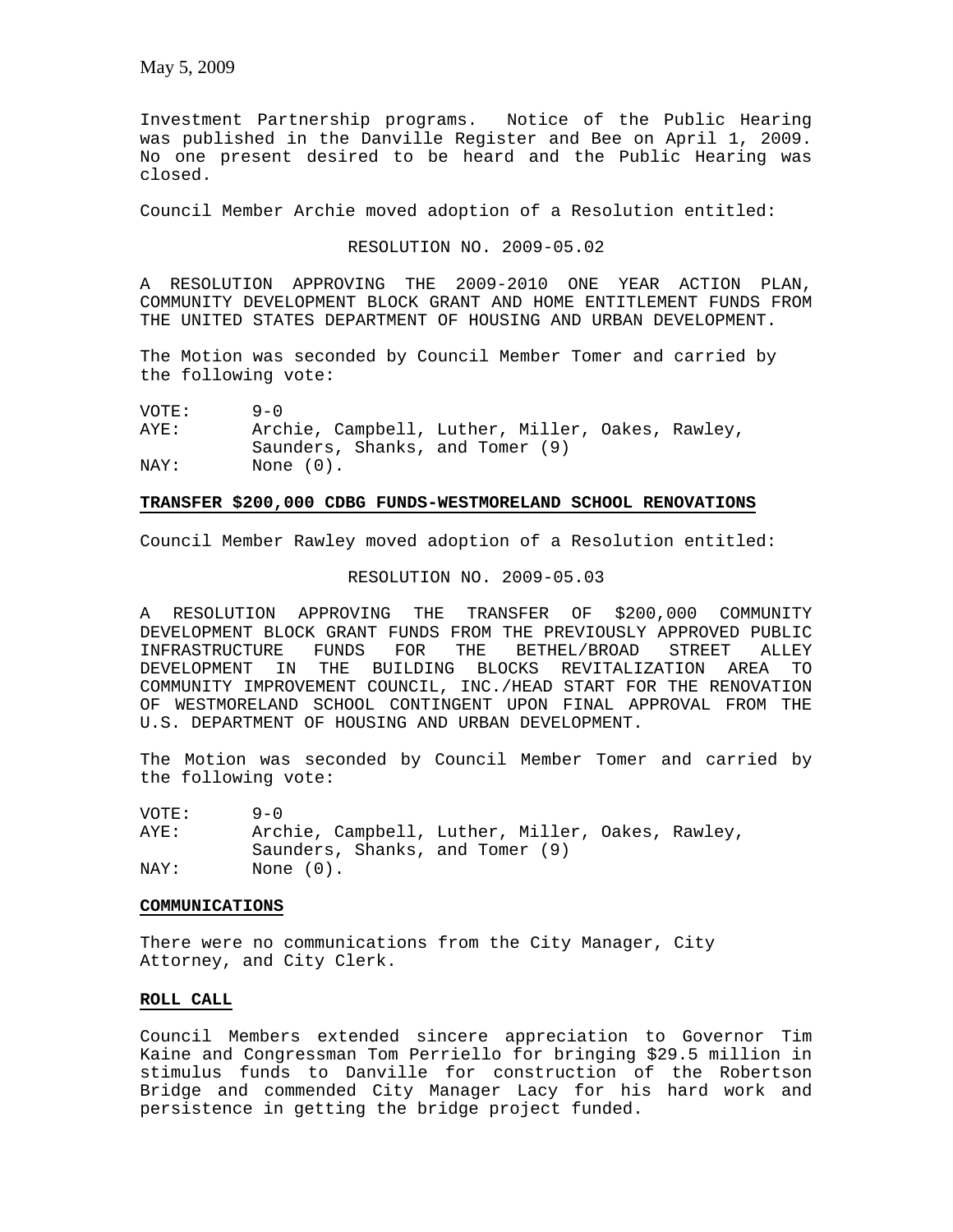Investment Partnership programs. Notice of the Public Hearing was published in the Danville Register and Bee on April 1, 2009. No one present desired to be heard and the Public Hearing was closed.

Council Member Archie moved adoption of a Resolution entitled:

RESOLUTION NO. 2009-05.02

A RESOLUTION APPROVING THE 2009-2010 ONE YEAR ACTION PLAN, COMMUNITY DEVELOPMENT BLOCK GRANT AND HOME ENTITLEMENT FUNDS FROM THE UNITED STATES DEPARTMENT OF HOUSING AND URBAN DEVELOPMENT.

The Motion was seconded by Council Member Tomer and carried by the following vote:

VOTE: 9-0

AYE: Archie, Campbell, Luther, Miller, Oakes, Rawley, Saunders, Shanks, and Tomer (9) NAY: None  $(0)$ .

#### **TRANSFER \$200,000 CDBG FUNDS-WESTMORELAND SCHOOL RENOVATIONS**

Council Member Rawley moved adoption of a Resolution entitled:

### RESOLUTION NO. 2009-05.03

A RESOLUTION APPROVING THE TRANSFER OF \$200,000 COMMUNITY DEVELOPMENT BLOCK GRANT FUNDS FROM THE PREVIOUSLY APPROVED PUBLIC<br>INFRASTRUCTURE FUNDS FOR THE BETHEL/BROAD STREET ALLEY INFRASTRUCTURE FUNDS FOR THE BETHEL/BROAD STREET ALLEY DEVELOPMENT IN THE BUILDING BLOCKS REVITALIZATION AREA TO COMMUNITY IMPROVEMENT COUNCIL, INC./HEAD START FOR THE RENOVATION OF WESTMORELAND SCHOOL CONTINGENT UPON FINAL APPROVAL FROM THE U.S. DEPARTMENT OF HOUSING AND URBAN DEVELOPMENT.

The Motion was seconded by Council Member Tomer and carried by the following vote:

VOTE: 9-0

AYE: Archie, Campbell, Luther, Miller, Oakes, Rawley, Saunders, Shanks, and Tomer (9) NAY: None (0).

#### **COMMUNICATIONS**

There were no communications from the City Manager, City Attorney, and City Clerk.

# **ROLL CALL**

Council Members extended sincere appreciation to Governor Tim Kaine and Congressman Tom Perriello for bringing \$29.5 million in stimulus funds to Danville for construction of the Robertson Bridge and commended City Manager Lacy for his hard work and persistence in getting the bridge project funded.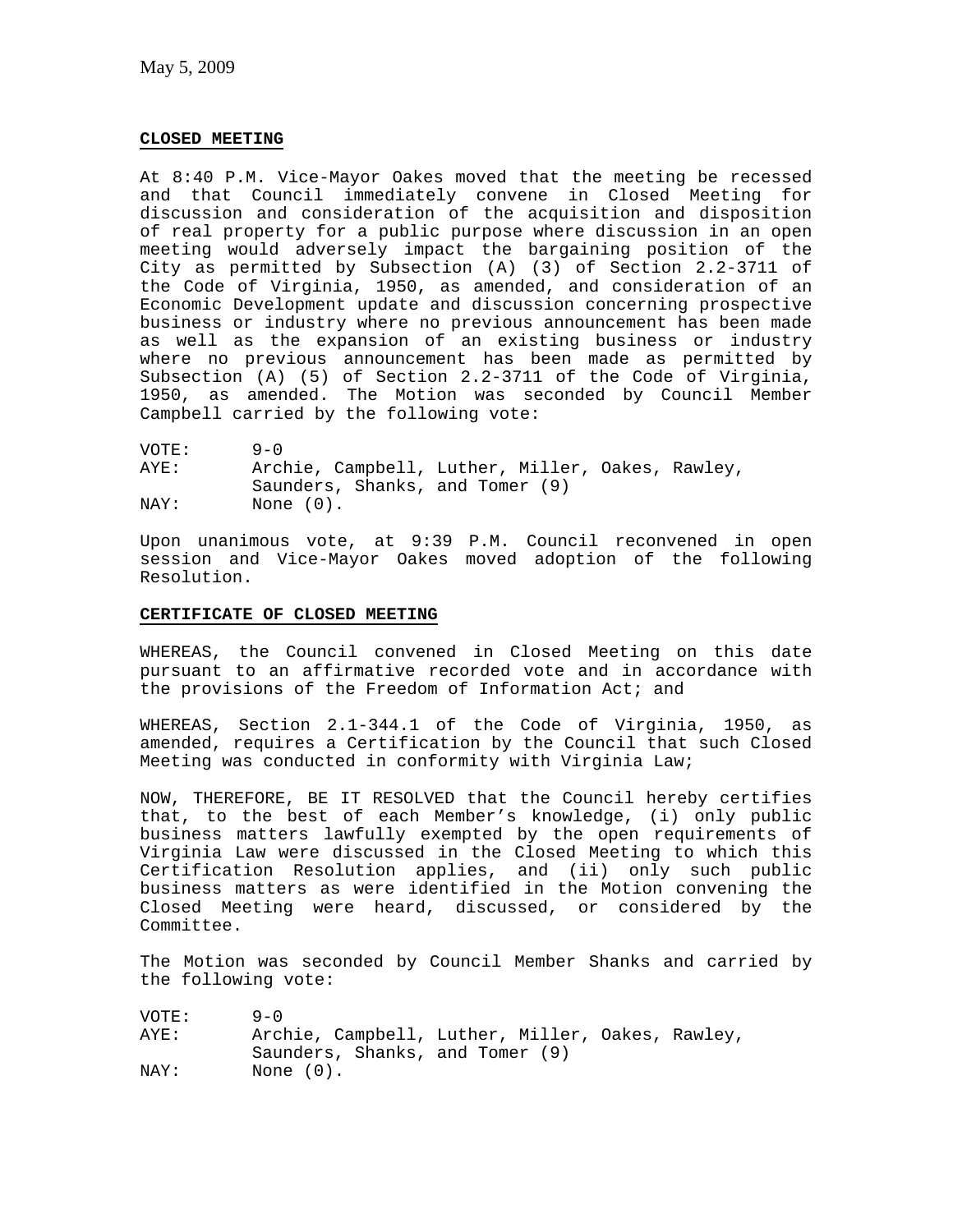### **CLOSED MEETING**

At 8:40 P.M. Vice-Mayor Oakes moved that the meeting be recessed and that Council immediately convene in Closed Meeting for discussion and consideration of the acquisition and disposition of real property for a public purpose where discussion in an open meeting would adversely impact the bargaining position of the City as permitted by Subsection (A) (3) of Section 2.2-3711 of the Code of Virginia, 1950, as amended, and consideration of an Economic Development update and discussion concerning prospective business or industry where no previous announcement has been made as well as the expansion of an existing business or industry where no previous announcement has been made as permitted by Subsection (A) (5) of Section 2.2-3711 of the Code of Virginia, 1950, as amended. The Motion was seconded by Council Member Campbell carried by the following vote:

VOTE: 9-0 AYE: Archie, Campbell, Luther, Miller, Oakes, Rawley, Saunders, Shanks, and Tomer (9) NAY: None (0).

Upon unanimous vote, at 9:39 P.M. Council reconvened in open session and Vice-Mayor Oakes moved adoption of the following Resolution.

# **CERTIFICATE OF CLOSED MEETING**

WHEREAS, the Council convened in Closed Meeting on this date pursuant to an affirmative recorded vote and in accordance with the provisions of the Freedom of Information Act; and

WHEREAS, Section 2.1-344.1 of the Code of Virginia, 1950, as amended, requires a Certification by the Council that such Closed Meeting was conducted in conformity with Virginia Law;

NOW, THEREFORE, BE IT RESOLVED that the Council hereby certifies that, to the best of each Member's knowledge, (i) only public business matters lawfully exempted by the open requirements of Virginia Law were discussed in the Closed Meeting to which this Certification Resolution applies, and (ii) only such public business matters as were identified in the Motion convening the Closed Meeting were heard, discussed, or considered by the Committee.

The Motion was seconded by Council Member Shanks and carried by the following vote:

| VOTE: | $9 - 0$                         |                                                  |
|-------|---------------------------------|--------------------------------------------------|
| AYE:  |                                 | Archie, Campbell, Luther, Miller, Oakes, Rawley, |
|       | Saunders, Shanks, and Tomer (9) |                                                  |
| NAY:  | None $(0)$ .                    |                                                  |